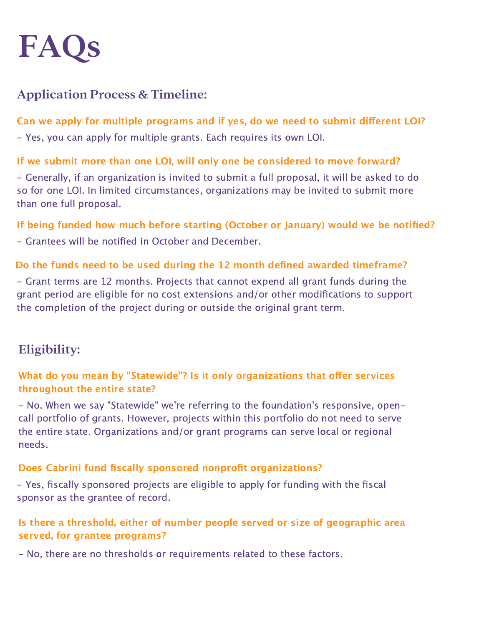

## **Application Process & Timeline:**

## Can we apply for multiple programs and if yes, do we need to submit different LOI?

- Yes, you can apply for multiple grants. Each requires its own LOI.

## If we submit more than one LOI, will only one be considered to move forward?

- Generally, if an organization is invited to submit a full proposal, it will be asked to do so for one LOI. In limited circumstances, organizations may be invited to submit more than one full proposal.

## If being funded how much before starting (October or January) would we be notified?

- Grantees will be notified in October and December.

#### Do the funds need to be used during the 12 month defined awarded timeframe?

- Grant terms are 12 months. Projects that cannot expend all grant funds during the grant period are eligible for no cost extensions and/or other modifications to support the completion of the project during or outside the original grant term.

# **Eligibility:**

## What do you mean by "Statewide"? Is it only organizations that offer services throughout the entire state?

- No. When we say "Statewide" we're referring to the foundation's responsive, opencall portfolio of grants. However, projects within this portfolio do not need to serve the entire state. Organizations and/or grant programs can serve local or regional needs.

#### Does Cabrini fund fiscally sponsored nonprofit organizations?

- Yes, fiscally sponsored projects are eligible to apply for funding with the fiscal sponsor as the grantee of record.

## Is there a threshold, either of number people served or size of geographic area served, for grantee programs?

- No, there are no thresholds or requirements related to these factors.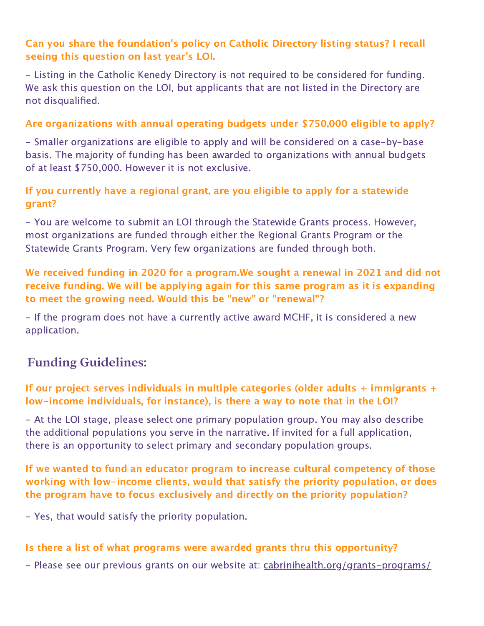## Can you share the foundation's policy on Catholic Directory listing status? I recall seeing this question on last year's LOI.

- Listing in the Catholic Kenedy Directory is not required to be considered for funding. We ask this question on the LOI, but applicants that are not listed in the Directory are not disqualified.

### Are organizations with annual operating budgets under \$750,000 eligible to apply?

- Smaller organizations are eligible to apply and will be considered on a case-by-base basis. The majority of funding has been awarded to organizations with annual budgets of at least \$750,000. However it is not exclusive.

## If you currently have a regional grant, are you eligible to apply for a statewide grant?

- You are welcome to submit an LOI through the Statewide Grants process. However, most organizations are funded through either the Regional Grants Program or the Statewide Grants Program. Very few organizations are funded through both.

## We received funding in 2020 for a program.We sought a renewal in 2021 and did not receive funding. We will be applying again for this same program as it is expanding to meet the growing need. Would this be "new" or "renewal"?

- If the program does not have a currently active award MCHF, it is considered a new application.

## **Funding Guidelines:**

## If our project serves individuals in multiple categories (older adults  $+$  immigrants  $+$ low-income individuals, for instance), is there a way to note that in the LOI?

- At the LOI stage, please select one primary population group. You may also describe the additional populations you serve in the narrative. If invited for a full application, there is an opportunity to select primary and secondary population groups.

## If we wanted to fund an educator program to increase cultural competency of those working with low-income clients, would that satisfy the priority population, or does the program have to focus exclusively and directly on the priority population?

- Yes, that would satisfy the priority population.

#### Is there a list of what programs were awarded grants thru this opportunity?

- Please see our previous grants on our website at: [cabrinihealth.org/grants-programs/](https://cabrinihealth.org/grants-programs/)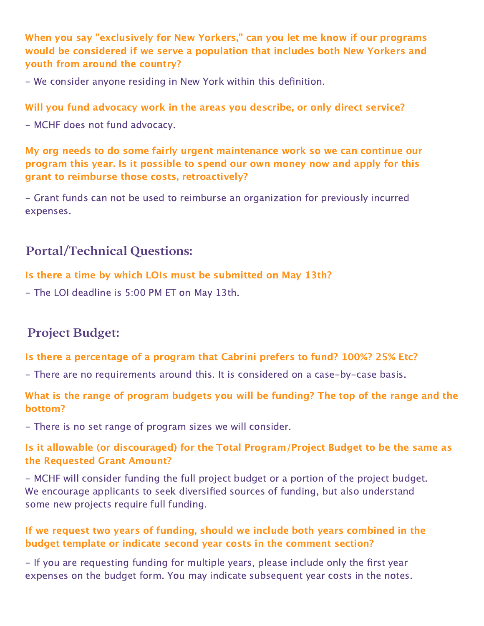When you say "exclusively for New Yorkers," can you let me know if our programs would be considered if we serve a population that includes both New Yorkers and youth from around the country?

- We consider anyone residing in New York within this definition.

#### Will you fund advocacy work in the areas you describe, or only direct service?

- MCHF does not fund advocacy.

## My org needs to do some fairly urgent maintenance work so we can continue our program this year. Is it possible to spend our own money now and apply for this grant to reimburse those costs, retroactively?

- Grant funds can not be used to reimburse an organization for previously incurred expenses.

## **Portal/Technical Questions:**

#### Is there a time by which LOIs must be submitted on May 13th?

- The LOI deadline is 5:00 PM ET on May 13th.

## **Project Budget:**

#### Is there a percentage of a program that Cabrini prefers to fund? 100%? 25% Etc?

- There are no requirements around this. It is considered on a case-by-case basis.

## What is the range of program budgets you will be funding? The top of the range and the bottom?

- There is no set range of program sizes we will consider.

## Is it allowable (or discouraged) for the Total Program/Project Budget to be the same as the Requested Grant Amount?

- MCHF will consider funding the full project budget or a portion of the project budget. We encourage applicants to seek diversified sources of funding, but also understand some new projects require full funding.

## If we request two years of funding, should we include both years combined in the budget template or indicate second year costs in the comment section?

- If you are requesting funding for multiple years, please include only the first year expenses on the budget form. You may indicate subsequent year costs in the notes.